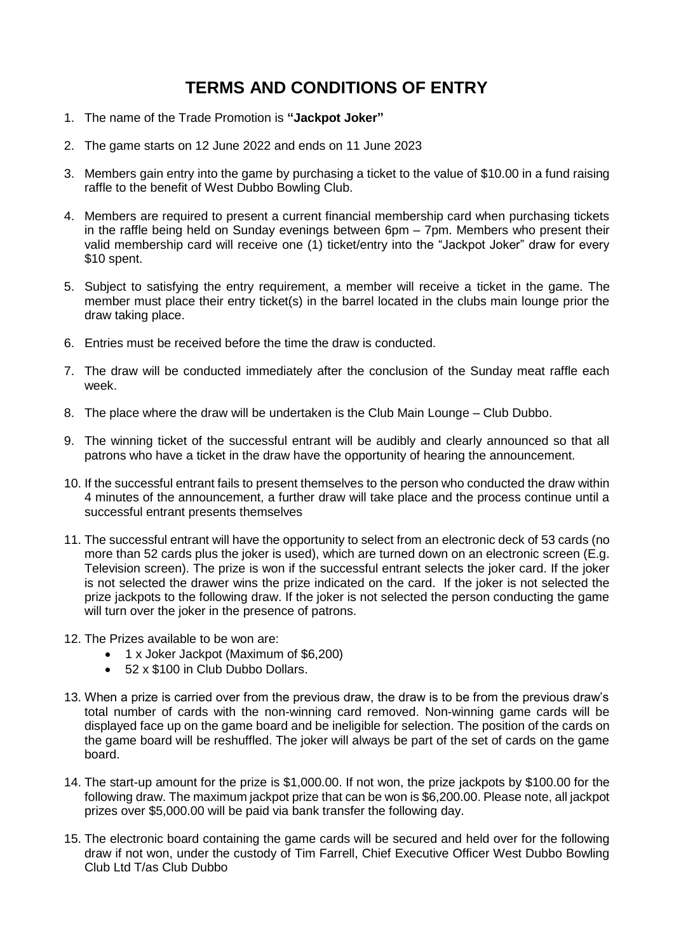## **TERMS AND CONDITIONS OF ENTRY**

- 1. The name of the Trade Promotion is **"Jackpot Joker"**
- 2. The game starts on 12 June 2022 and ends on 11 June 2023
- 3. Members gain entry into the game by purchasing a ticket to the value of \$10.00 in a fund raising raffle to the benefit of West Dubbo Bowling Club.
- 4. Members are required to present a current financial membership card when purchasing tickets in the raffle being held on Sunday evenings between 6pm – 7pm. Members who present their valid membership card will receive one (1) ticket/entry into the "Jackpot Joker" draw for every \$10 spent.
- 5. Subject to satisfying the entry requirement, a member will receive a ticket in the game. The member must place their entry ticket(s) in the barrel located in the clubs main lounge prior the draw taking place.
- 6. Entries must be received before the time the draw is conducted.
- 7. The draw will be conducted immediately after the conclusion of the Sunday meat raffle each week.
- 8. The place where the draw will be undertaken is the Club Main Lounge Club Dubbo.
- 9. The winning ticket of the successful entrant will be audibly and clearly announced so that all patrons who have a ticket in the draw have the opportunity of hearing the announcement.
- 10. If the successful entrant fails to present themselves to the person who conducted the draw within 4 minutes of the announcement, a further draw will take place and the process continue until a successful entrant presents themselves
- 11. The successful entrant will have the opportunity to select from an electronic deck of 53 cards (no more than 52 cards plus the joker is used), which are turned down on an electronic screen (E.g. Television screen). The prize is won if the successful entrant selects the joker card. If the joker is not selected the drawer wins the prize indicated on the card. If the joker is not selected the prize jackpots to the following draw. If the joker is not selected the person conducting the game will turn over the joker in the presence of patrons.
- 12. The Prizes available to be won are:
	- 1 x Joker Jackpot (Maximum of \$6,200)
	- 52 x \$100 in Club Dubbo Dollars.
- 13. When a prize is carried over from the previous draw, the draw is to be from the previous draw's total number of cards with the non-winning card removed. Non-winning game cards will be displayed face up on the game board and be ineligible for selection. The position of the cards on the game board will be reshuffled. The joker will always be part of the set of cards on the game board.
- 14. The start-up amount for the prize is \$1,000.00. If not won, the prize jackpots by \$100.00 for the following draw. The maximum jackpot prize that can be won is \$6,200.00. Please note, all jackpot prizes over \$5,000.00 will be paid via bank transfer the following day.
- 15. The electronic board containing the game cards will be secured and held over for the following draw if not won, under the custody of Tim Farrell, Chief Executive Officer West Dubbo Bowling Club Ltd T/as Club Dubbo